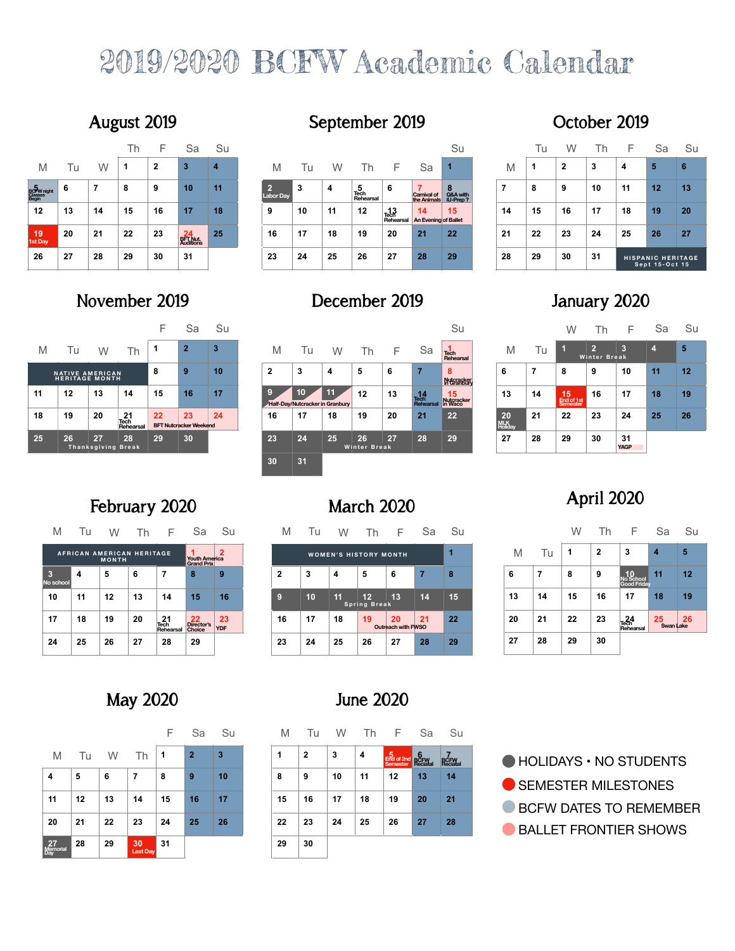# 2019/2020 BCFW Academic Calendar

|                                 |    |    | Th | F  | Sa                                 | Su |                        |    |    |                        |                         |                                        | Su                        |
|---------------------------------|----|----|----|----|------------------------------------|----|------------------------|----|----|------------------------|-------------------------|----------------------------------------|---------------------------|
| M                               | Tu | W  | ٩  | 2  | 3                                  | 4  | M                      | Tu | W  | Гh                     | ⊢                       | Sa                                     | и                         |
| <b>5</b><br>BCHW night<br>Begin | 6  | 7  | 8  | 9  | 10                                 | 11 | G)<br><b>Labor Day</b> | 3  | 4  | 5<br>Tech<br>Rehearsal | 6                       | 7<br><b>Carnival of</b><br>the Animals | 8<br>Q&A with<br>iU-Prep? |
| 12                              | 13 | 14 | 15 | 16 | 17                                 | 18 | 9                      | 10 | 11 | 12                     | 13<br>Tech<br>Rehearsal | 14<br>An Evening of Ballet             | 15                        |
| 19<br>1st Day                   | 20 | 21 | 22 | 23 | 24<br><b>BFT Nut.</b><br>Auditions | 25 | 16                     | 17 | 18 | 19                     | 20                      | 2 <sub>1</sub>                         | 22                        |
| 26                              | 27 | 28 | 29 | 30 | 31                                 |    | 23                     | 24 | 25 | 26                     | 27                      | 28                                     | 29                        |

# **November 2019**

### F Sa Su M Tu W Th **<sup>1</sup> <sup>2</sup> <sup>3</sup> 4 5 6 7 8 9 10 NATIVE AMERICAN HERITAGE MONTH 11 12 13 14 15 16 17 18 19 20 21 22 23 24 25 26 27 28 29 30 Thanksgiving Break Winter Break Tech Rehearsal**

## **August 2019 September 2019 October 2019**

| 3<br>2<br>4                                                                                                                                                                               |    |                                            |
|-------------------------------------------------------------------------------------------------------------------------------------------------------------------------------------------|----|--------------------------------------------|
| M<br>W<br>Sa<br>M<br>W<br>M<br>Tu<br>ſh<br>⊢                                                                                                                                              | 3  | 5<br>6<br>4                                |
| 11<br>10<br>7<br>8<br>8<br>6<br>6<br>9<br>9<br>4<br>5<br>8<br><b>D</b><br>PW night<br>igin<br>Tech<br>Rehearsal<br>Q&A with<br>iU-Prep?<br>Carnival of<br>the Animals<br><b>Labor Dav</b> | 10 | 12<br>11<br>13                             |
| 12<br>18<br>11<br>17<br>10<br>15<br>15<br>16<br>13<br>12<br>14<br>16<br>14<br>9<br>14<br>15<br>13<br>Tech<br>Rehearsal<br>An Evening of Ballet                                            | 17 | 19<br>20<br>18                             |
| 25<br>22<br>23<br>17<br>19<br>21<br>22<br>19<br>16<br>20<br>23<br>20<br>21<br>18<br>22<br>21<br>24<br><b>BFT Nut.</b><br>Auditions<br>t Day                                               | 24 | 26<br>25<br>27                             |
| 26<br>27<br>27<br>29<br>30<br>23<br>24<br>28<br>29<br>30<br>25<br>26<br>28<br>28<br>31<br>29                                                                                              | 31 | <b>HISPANIC HERITAGE</b><br>Sept 15-Oct 15 |

# **December 2019 January 2020**

| F  | Sa                                  | Su |              |                                                    |    |                           |    |                         | Su                             |                             |    | W                              | Τh                                    | F                 | Sa             | S               |
|----|-------------------------------------|----|--------------|----------------------------------------------------|----|---------------------------|----|-------------------------|--------------------------------|-----------------------------|----|--------------------------------|---------------------------------------|-------------------|----------------|-----------------|
| 1  | $\overline{2}$                      | 3  | M            | Tu                                                 | W  | Th                        | н. | Sa                      | Tech<br>Rehearsal              | M                           | Tu |                                | $\overline{2}$<br><b>Winter Break</b> | 3                 | $\overline{4}$ | $5\phantom{.0}$ |
| 8  | 9                                   | 10 | $\mathbf{2}$ | 3                                                  | 4  | 5                         | 6  |                         | 8<br>Nutcracker<br>in Granbury | 6                           |    | 8                              | 9                                     | 10                | 11             | 12              |
| 15 | 16                                  | 17 | 9            | 10 <sub>1</sub><br>Half-Day/Nutcracker in Granbury | 11 | 12                        | 13 | 14<br>Tech<br>Rehearsal | 15<br>Nutcracker<br>in Waco    | 13                          | 14 | $15$<br>End of 1st<br>Semester | 16                                    | 17                | 18             | 19              |
| 22 | 23<br><b>BFT Nutcracker Weekend</b> | 24 | 16           | 17                                                 | 18 | 19                        | 20 | 21                      | 22                             | 20<br><b>MLK</b><br>Holidav | 21 | 22                             | 23                                    | 24                | 25             | 26              |
| 29 | 30                                  |    | 23           | 24                                                 | 25 | 26<br><b>Winter Break</b> | 27 | 28                      | 29                             | 27                          | 28 | 29                             | 30                                    | 31<br><b>YAGP</b> |                |                 |
|    |                                     |    | 30           | 31                                                 |    |                           |    |                         |                                |                             |    |                                |                                       |                   |                |                 |
|    |                                     |    |              |                                                    |    |                           |    |                         |                                |                             |    |                                |                                       |                   |                |                 |

# **February 2020 March 2020**

| M             | Tu | W                                         | Τh | F                              | Sa                                             | Su               | M  | Tu | W                            |                    | ⊢                        | Sa | Su |
|---------------|----|-------------------------------------------|----|--------------------------------|------------------------------------------------|------------------|----|----|------------------------------|--------------------|--------------------------|----|----|
|               |    | AFRICAN AMERICAN HERITAGE<br><b>MONTH</b> |    |                                | 1<br><b>Youth America</b><br><b>Grand Prix</b> | 2                |    |    | <b>WOMEN'S HISTORY MONTH</b> |                    |                          |    |    |
| 3<br>o school | 4  | 5                                         | 6  | 7                              | 8                                              | 9                | 2  | 3  | 4                            | 5                  | 6                        | 7  | 8  |
| 10            | 11 | 12                                        | 13 | 14                             | 15                                             | 16               | 9  | 10 | 11                           | 12<br>Spring Break | 13                       | 14 | 15 |
| 17            | 18 | 19                                        | 20 | 21<br><b>Tech</b><br>Rehearsal | 22<br><b>Director's</b><br>Choice              | 23<br><b>YDF</b> | 16 | 17 | 18                           | 19                 | 20<br>Outreach with FWSO | 21 | 22 |
| 24            | 25 | 26                                        | 27 | 28                             | 29                                             |                  | 23 | 24 | 25                           | 26                 | 27                       | 28 | 29 |

|    | Tu | W            | Th | F                                          | Sa | Su |  |  |  |
|----|----|--------------|----|--------------------------------------------|----|----|--|--|--|
| M  | 1  | $\mathbf{2}$ | 3  | 4                                          | 5  | 6  |  |  |  |
| 7  | 8  | 9            | 10 | 11                                         | 12 | 13 |  |  |  |
| 14 | 15 | 16           | 17 | 18                                         | 19 | 20 |  |  |  |
| 21 | 22 | 23           | 24 | 25                                         | 26 | 27 |  |  |  |
| 28 | 29 | 30           | 31 | <b>HISPANIC HERITAGE</b><br>Sept 15-Oct 15 |    |    |  |  |  |

| Su                   |                             |    | W                            | Th                                    | F                 | Sa | Su |
|----------------------|-----------------------------|----|------------------------------|---------------------------------------|-------------------|----|----|
| ۰h<br>hearsal        | M                           | Tu | П                            | $\overline{2}$<br><b>Winter Break</b> | 3                 | 4  | 5  |
| tcracker<br>åranbury | 6                           | 7  | 8                            | 9                                     | 10                | 11 | 12 |
| 5<br>cracker<br>Vaco | 13                          | 14 | 15<br>End of 1st<br>Semester | 16                                    | 17                | 18 | 19 |
| 2                    | 20<br><b>MLK</b><br>Holiday | 21 | 22                           | 23                                    | 24                | 25 | 26 |
| 9                    | 27                          | 28 | 29                           | 30                                    | 31<br><b>YAGP</b> |    |    |

# **April 2020**

|      | F                        | Sa | Su |    |    | W  | Th           | F                                  | Sa              | Su |
|------|--------------------------|----|----|----|----|----|--------------|------------------------------------|-----------------|----|
|      | Y MONTH                  |    | 1  | M  | Tu | 1  | $\mathbf{2}$ | 3                                  | 4               | 5  |
|      | 6                        | 7  | 8  | 6  | 7  | 8  | 9            | 10<br>No School<br>Good Friday     | 11              | 12 |
| reak | 13                       | 14 | 15 | 13 | 14 | 15 | 16           | 17                                 | 18              | 19 |
|      | 20<br>Outreach with FWSO | 21 | 22 | 20 | 21 | 22 | 23           | $^{24}_{\text{Tech}}$<br>Rehearsal | 25<br>Swan Lake | 26 |
|      | 27                       | 28 | 29 | 27 | 28 | 29 | 30           |                                    |                 |    |

## **May 2020 June 2020**

**No school**

|                  |    |    |                | F  | Sa             | Su | M  | Tu           | W  | Th | F                                    | Sa | S                |
|------------------|----|----|----------------|----|----------------|----|----|--------------|----|----|--------------------------------------|----|------------------|
| M                | Tu | W  | Th             | 1  | $\overline{2}$ | 3  | 1  | $\mathbf{2}$ | 3  | 4  | 5<br>End of 2nd<br>Semester Reciatal |    | 7<br><b>RCFV</b> |
| $\overline{4}$   | 5  | 6  | 7              | 8  | 9              | 10 | 8  | 9            | 10 | 11 | 12                                   | 13 | 14               |
| 11               | 12 | 13 | 14             | 15 | 16             | 17 | 15 | 16           | 17 | 18 | 19                                   | 20 | 21               |
| 20               | 21 | 22 | 23             | 24 | 25             | 26 | 22 | 23           | 24 | 25 | 26                                   | 27 | 28               |
| $27$<br>Memorial | 28 | 29 | 30<br>Last Day | 31 |                |    | 29 | 30           |    |    |                                      |    |                  |

| F | Sa             | Su | M  | Tu | W  | Th | F                                                                        | Sa                    | Su                           |  |
|---|----------------|----|----|----|----|----|--------------------------------------------------------------------------|-----------------------|------------------------------|--|
|   | $\overline{2}$ | 3  | 1  | 2  | 3  | 4  | $\begin{array}{c} 5 \\ \text{End of 2nd} \\ \text{Semester} \end{array}$ | 6<br>BCFW<br>Reciatal | 7<br><b>BCFW</b><br>Reciatal |  |
|   | 9              | 10 | 8  | 9  | 10 | 11 | 12                                                                       | 13                    | 14                           |  |
| 5 | 16             | 17 | 15 | 16 | 17 | 18 | 19                                                                       | 20                    | 21                           |  |
| 1 | 25             | 26 | 22 | 23 | 24 | 25 | 26                                                                       | 27                    | 28                           |  |
|   |                |    | 29 | 30 |    |    |                                                                          |                       |                              |  |